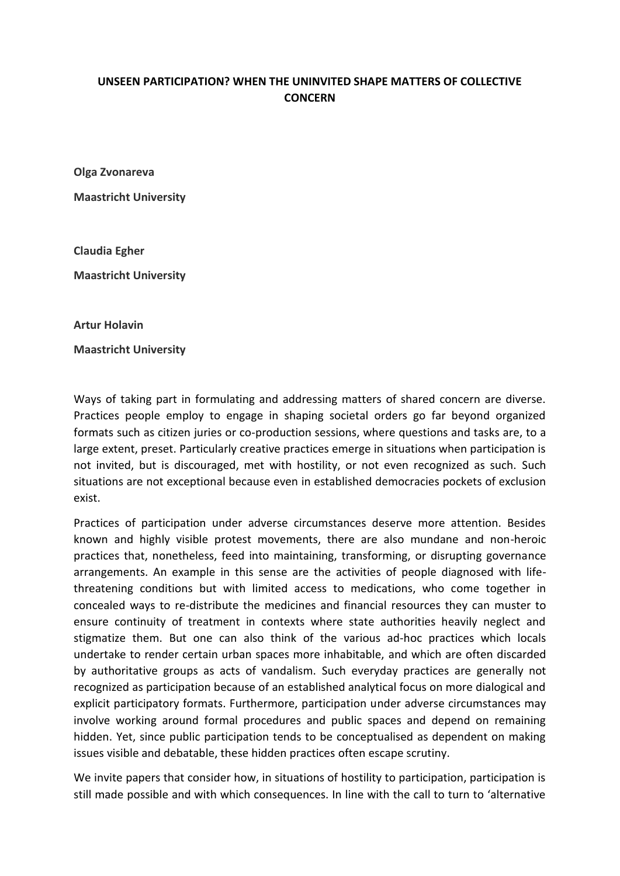## **UNSEEN PARTICIPATION? WHEN THE UNINVITED SHAPE MATTERS OF COLLECTIVE CONCERN**

**Olga Zvonareva**

**Maastricht University**

**Claudia Egher Maastricht University**

**Artur Holavin**

**Maastricht University**

Ways of taking part in formulating and addressing matters of shared concern are diverse. Practices people employ to engage in shaping societal orders go far beyond organized formats such as citizen juries or co-production sessions, where questions and tasks are, to a large extent, preset. Particularly creative practices emerge in situations when participation is not invited, but is discouraged, met with hostility, or not even recognized as such. Such situations are not exceptional because even in established democracies pockets of exclusion exist.

Practices of participation under adverse circumstances deserve more attention. Besides known and highly visible protest movements, there are also mundane and non-heroic practices that, nonetheless, feed into maintaining, transforming, or disrupting governance arrangements. An example in this sense are the activities of people diagnosed with lifethreatening conditions but with limited access to medications, who come together in concealed ways to re-distribute the medicines and financial resources they can muster to ensure continuity of treatment in contexts where state authorities heavily neglect and stigmatize them. But one can also think of the various ad-hoc practices which locals undertake to render certain urban spaces more inhabitable, and which are often discarded by authoritative groups as acts of vandalism. Such everyday practices are generally not recognized as participation because of an established analytical focus on more dialogical and explicit participatory formats. Furthermore, participation under adverse circumstances may involve working around formal procedures and public spaces and depend on remaining hidden. Yet, since public participation tends to be conceptualised as dependent on making issues visible and debatable, these hidden practices often escape scrutiny.

We invite papers that consider how, in situations of hostility to participation, participation is still made possible and with which consequences. In line with the call to turn to 'alternative